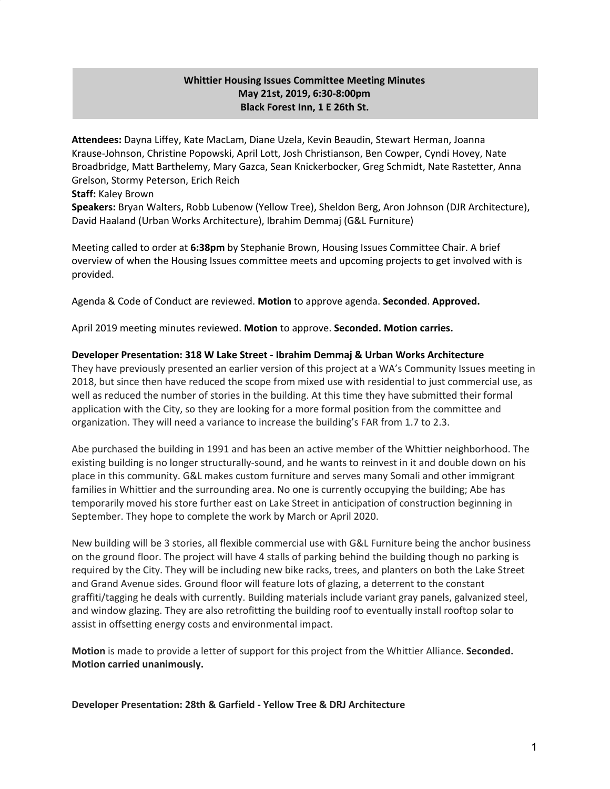# **Whittier Housing Issues Committee Meeting Minutes May 21st, 2019, 6:30-8:00pm Black Forest Inn, 1 E 26th St.**

**Attendees:** Dayna Liffey, Kate MacLam, Diane Uzela, Kevin Beaudin, Stewart Herman, Joanna Krause-Johnson, Christine Popowski, April Lott, Josh Christianson, Ben Cowper, Cyndi Hovey, Nate Broadbridge, Matt Barthelemy, Mary Gazca, Sean Knickerbocker, Greg Schmidt, Nate Rastetter, Anna Grelson, Stormy Peterson, Erich Reich

### **Staff:** Kaley Brown

**Speakers:** Bryan Walters, Robb Lubenow (Yellow Tree), Sheldon Berg, Aron Johnson (DJR Architecture), David Haaland (Urban Works Architecture), Ibrahim Demmaj (G&L Furniture)

Meeting called to order at **6:38pm** by Stephanie Brown, Housing Issues Committee Chair. A brief overview of when the Housing Issues committee meets and upcoming projects to get involved with is provided.

Agenda & Code of Conduct are reviewed. **Motion** to approve agenda. **Seconded**. **Approved.**

April 2019 meeting minutes reviewed. **Motion** to approve. **Seconded. Motion carries.**

### **Developer Presentation: 318 W Lake Street - Ibrahim Demmaj & Urban Works Architecture**

They have previously presented an earlier version of this project at a WA's Community Issues meeting in 2018, but since then have reduced the scope from mixed use with residential to just commercial use, as well as reduced the number of stories in the building. At this time they have submitted their formal application with the City, so they are looking for a more formal position from the committee and organization. They will need a variance to increase the building's FAR from 1.7 to 2.3.

Abe purchased the building in 1991 and has been an active member of the Whittier neighborhood. The existing building is no longer structurally-sound, and he wants to reinvest in it and double down on his place in this community. G&L makes custom furniture and serves many Somali and other immigrant families in Whittier and the surrounding area. No one is currently occupying the building; Abe has temporarily moved his store further east on Lake Street in anticipation of construction beginning in September. They hope to complete the work by March or April 2020.

New building will be 3 stories, all flexible commercial use with G&L Furniture being the anchor business on the ground floor. The project will have 4 stalls of parking behind the building though no parking is required by the City. They will be including new bike racks, trees, and planters on both the Lake Street and Grand Avenue sides. Ground floor will feature lots of glazing, a deterrent to the constant graffiti/tagging he deals with currently. Building materials include variant gray panels, galvanized steel, and window glazing. They are also retrofitting the building roof to eventually install rooftop solar to assist in offsetting energy costs and environmental impact.

**Motion** is made to provide a letter of support for this project from the Whittier Alliance. **Seconded. Motion carried unanimously.**

**Developer Presentation: 28th & Garfield - Yellow Tree & DRJ Architecture**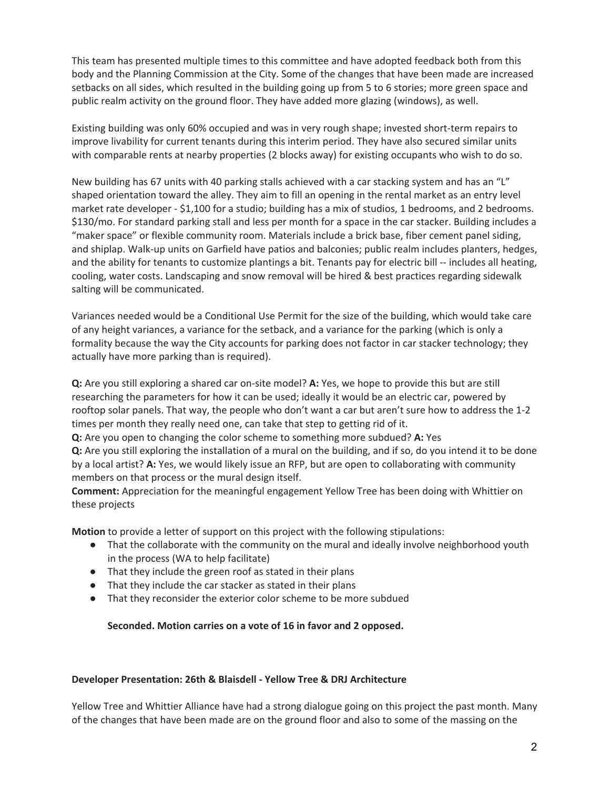This team has presented multiple times to this committee and have adopted feedback both from this body and the Planning Commission at the City. Some of the changes that have been made are increased setbacks on all sides, which resulted in the building going up from 5 to 6 stories; more green space and public realm activity on the ground floor. They have added more glazing (windows), as well.

Existing building was only 60% occupied and was in very rough shape; invested short-term repairs to improve livability for current tenants during this interim period. They have also secured similar units with comparable rents at nearby properties (2 blocks away) for existing occupants who wish to do so.

New building has 67 units with 40 parking stalls achieved with a car stacking system and has an "L" shaped orientation toward the alley. They aim to fill an opening in the rental market as an entry level market rate developer - \$1,100 for a studio; building has a mix of studios, 1 bedrooms, and 2 bedrooms. \$130/mo. For standard parking stall and less per month for a space in the car stacker. Building includes a "maker space" or flexible community room. Materials include a brick base, fiber cement panel siding, and shiplap. Walk-up units on Garfield have patios and balconies; public realm includes planters, hedges, and the ability for tenants to customize plantings a bit. Tenants pay for electric bill -- includes all heating, cooling, water costs. Landscaping and snow removal will be hired & best practices regarding sidewalk salting will be communicated.

Variances needed would be a Conditional Use Permit for the size of the building, which would take care of any height variances, a variance for the setback, and a variance for the parking (which is only a formality because the way the City accounts for parking does not factor in car stacker technology; they actually have more parking than is required).

**Q:** Are you still exploring a shared car on-site model? **A:** Yes, we hope to provide this but are still researching the parameters for how it can be used; ideally it would be an electric car, powered by rooftop solar panels. That way, the people who don't want a car but aren't sure how to address the 1-2 times per month they really need one, can take that step to getting rid of it.

**Q:** Are you open to changing the color scheme to something more subdued? **A:** Yes **Q:** Are you still exploring the installation of a mural on the building, and if so, do you intend it to be done by a local artist? **A:** Yes, we would likely issue an RFP, but are open to collaborating with community

members on that process or the mural design itself.

**Comment:** Appreciation for the meaningful engagement Yellow Tree has been doing with Whittier on these projects

**Motion** to provide a letter of support on this project with the following stipulations:

- That the collaborate with the community on the mural and ideally involve neighborhood youth in the process (WA to help facilitate)
- That they include the green roof as stated in their plans
- That they include the car stacker as stated in their plans
- That they reconsider the exterior color scheme to be more subdued

# **Seconded. Motion carries on a vote of 16 in favor and 2 opposed.**

#### **Developer Presentation: 26th & Blaisdell - Yellow Tree & DRJ Architecture**

Yellow Tree and Whittier Alliance have had a strong dialogue going on this project the past month. Many of the changes that have been made are on the ground floor and also to some of the massing on the